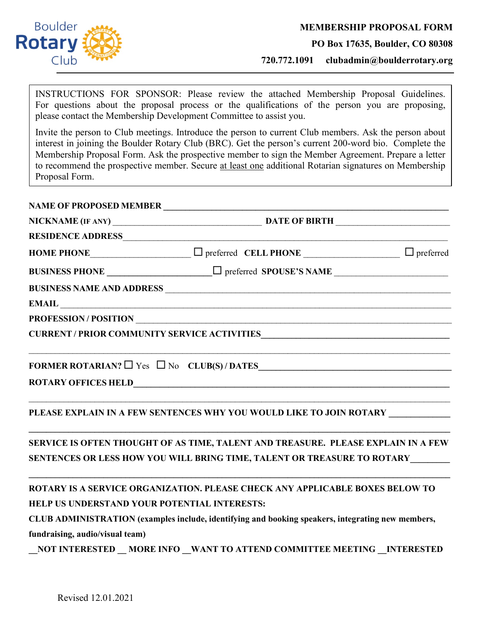

**PO Box 17635, Boulder, CO 80308**

**720.772.1091 clubadmin@boulderrotary.org**

INSTRUCTIONS FOR SPONSOR: Please review the attached Membership Proposal Guidelines. For questions about the proposal process or the qualifications of the person you are proposing, please contact the Membership Development Committee to assist you.

Invite the person to Club meetings. Introduce the person to current Club members. Ask the person about interest in joining the Boulder Rotary Club (BRC). Get the person's current 200-word bio. Complete the Membership Proposal Form. Ask the prospective member to sign the Member Agreement. Prepare a letter to recommend the prospective member. Secure at least one additional Rotarian signatures on Membership Proposal Form.

#### **NAME OF PROPOSED MEMBER \_\_\_\_\_\_\_\_\_\_\_\_\_\_\_\_\_\_\_\_\_\_\_\_\_\_\_\_\_\_\_\_\_\_\_\_\_\_\_\_\_\_\_\_\_\_\_\_\_\_\_\_\_\_\_\_\_\_\_\_\_\_\_\_\_**  $\overline{a}$

|                                              | RESIDENCE ADDRESS                                                                                                    |  |
|----------------------------------------------|----------------------------------------------------------------------------------------------------------------------|--|
|                                              |                                                                                                                      |  |
|                                              |                                                                                                                      |  |
|                                              | BUSINESS NAME AND ADDRESS                                                                                            |  |
|                                              | EMAIL EMAIL                                                                                                          |  |
|                                              |                                                                                                                      |  |
|                                              | CURRENT / PRIOR COMMUNITY SERVICE ACTIVITIES                                                                         |  |
|                                              | <u> 1989 - Johann John Harry Harry Harry Harry Harry Harry Harry Harry Harry Harry Harry Harry Harry Harry Harry</u> |  |
|                                              | PLEASE EXPLAIN IN A FEW SENTENCES WHY YOU WOULD LIKE TO JOIN ROTARY ____________                                     |  |
|                                              | SERVICE IS OFTEN THOUGHT OF AS TIME, TALENT AND TREASURE. PLEASE EXPLAIN IN A FEW                                    |  |
|                                              | SENTENCES OR LESS HOW YOU WILL BRING TIME, TALENT OR TREASURE TO ROTARY                                              |  |
|                                              | ROTARY IS A SERVICE ORGANIZATION. PLEASE CHECK ANY APPLICABLE BOXES BELOW TO                                         |  |
| HELP US UNDERSTAND YOUR POTENTIAL INTERESTS: |                                                                                                                      |  |
|                                              | CLUB ADMINISTRATION (examples include, identifying and booking speakers, integrating new members,                    |  |
| fundraising, audio/visual team)              |                                                                                                                      |  |

**\_\_NOT INTERESTED \_\_ MORE INFO \_\_WANT TO ATTEND COMMITTEE MEETING \_\_INTERESTED**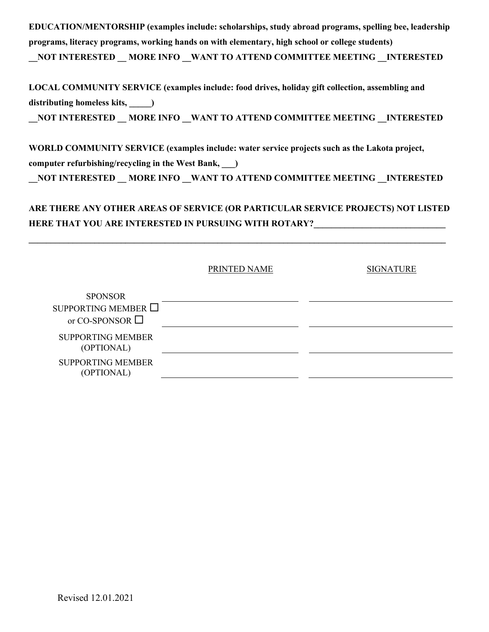**EDUCATION/MENTORSHIP (examples include: scholarships, study abroad programs, spelling bee, leadership programs, literacy programs, working hands on with elementary, high school or college students)**

**NOT INTERESTED \_\_MORE INFO \_\_ WANT TO ATTEND COMMITTEE MEETING \_\_INTERESTED** 

**LOCAL COMMUNITY SERVICE (examples include: food drives, holiday gift collection, assembling and distributing homeless kits, \_\_\_\_\_) \_\_NOT INTERESTED \_\_ MORE INFO \_\_WANT TO ATTEND COMMITTEE MEETING \_\_INTERESTED**

**WORLD COMMUNITY SERVICE (examples include: water service projects such as the Lakota project, computer refurbishing/recycling in the West Bank, \_\_\_)** 

**\_\_NOT INTERESTED \_\_ MORE INFO \_\_WANT TO ATTEND COMMITTEE MEETING \_\_INTERESTED**

## **ARE THERE ANY OTHER AREAS OF SERVICE (OR PARTICULAR SERVICE PROJECTS) NOT LISTED**  HERE THAT YOU ARE INTERESTED IN PURSUING WITH ROTARY?

**\_\_\_\_\_\_\_\_\_\_\_\_\_\_\_\_\_\_\_\_\_\_\_\_\_\_\_\_\_\_\_\_\_\_\_\_\_\_\_\_\_\_\_\_\_\_\_\_\_\_\_\_\_\_\_\_\_\_\_\_\_\_\_\_\_\_\_\_\_\_\_\_\_\_\_\_\_\_\_\_\_\_\_\_\_\_\_\_\_\_\_\_\_\_\_**

| <b>SIGNATURE</b> |
|------------------|
|                  |

| <b>SPONSOR</b>                         |  |
|----------------------------------------|--|
| SUPPORTING MEMBER $\Box$               |  |
| or CO-SPONSOR $\Box$                   |  |
| <b>SUPPORTING MEMBER</b><br>(OPTIONAL) |  |
| <b>SUPPORTING MEMBER</b><br>(OPTIONAL) |  |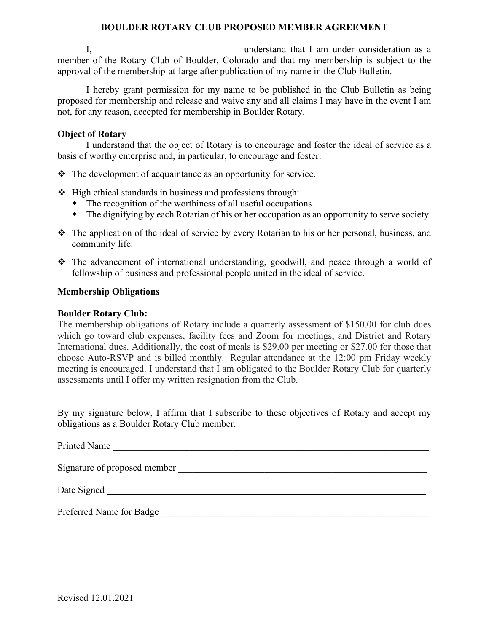### **BOULDER ROTARY CLUB PROPOSED MEMBER AGREEMENT**

I, the consideration as a generator of the understand that I am under consideration as a member of the Rotary Club of Boulder, Colorado and that my membership is subject to the approval of the membership-at-large after publication of my name in the Club Bulletin.

I hereby grant permission for my name to be published in the Club Bulletin as being proposed for membership and release and waive any and all claims I may have in the event I am not, for any reason, accepted for membership in Boulder Rotary.

#### **Object of Rotary**

I understand that the object of Rotary is to encourage and foster the ideal of service as a basis of worthy enterprise and, in particular, to encourage and foster:

- $\triangle$  The development of acquaintance as an opportunity for service.
- $\triangleleft$  High ethical standards in business and professions through:
	- The recognition of the worthiness of all useful occupations.
	- The dignifying by each Rotarian of his or her occupation as an opportunity to serve society.
- \* The application of the ideal of service by every Rotarian to his or her personal, business, and community life.
- The advancement of international understanding, goodwill, and peace through a world of fellowship of business and professional people united in the ideal of service.

#### **Membership Obligations**

#### **Boulder Rotary Club:**

The membership obligations of Rotary include a quarterly assessment of \$150.00 for club dues which go toward club expenses, facility fees and Zoom for meetings, and District and Rotary International dues. Additionally, the cost of meals is \$29.00 per meeting or \$27.00 for those that choose Auto-RSVP and is billed monthly. Regular attendance at the 12:00 pm Friday weekly meeting is encouraged. I understand that I am obligated to the Boulder Rotary Club for quarterly assessments until I offer my written resignation from the Club.

By my signature below, I affirm that I subscribe to these objectives of Rotary and accept my obligations as a Boulder Rotary Club member.

Printed Name  $\blacksquare$ 

Signature of proposed member

Date Signed **Example 2** and the set of the set of the set of the set of the set of the set of the set of the set of the set of the set of the set of the set of the set of the set of the set of the set of the set of the set

Preferred Name for Badge \_\_\_\_\_\_\_\_\_\_\_\_\_\_\_\_\_\_\_\_\_\_\_\_\_\_\_\_\_\_\_\_\_\_\_\_\_\_\_\_\_\_\_\_\_\_\_\_\_\_\_\_\_\_\_\_